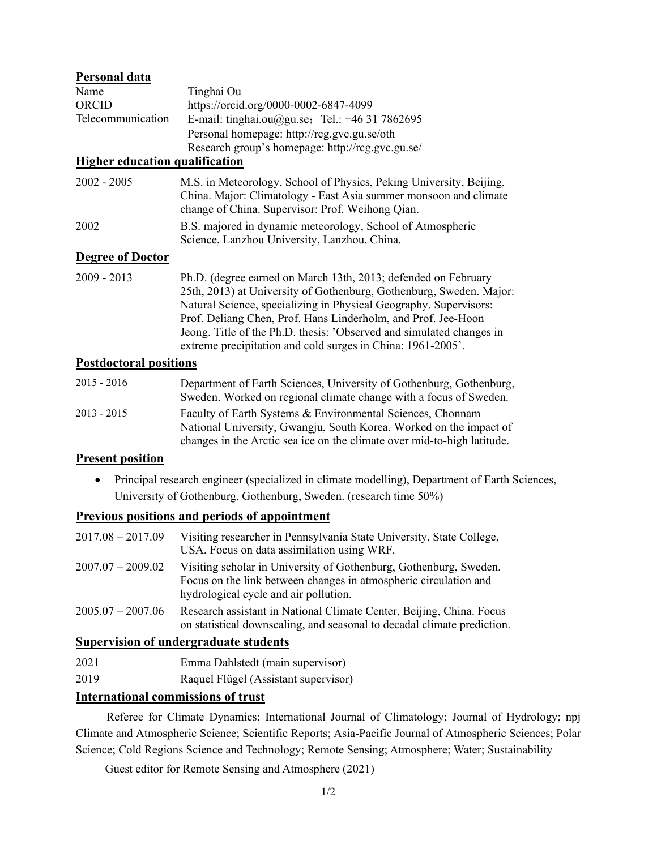## **Personal data**

| Name              | Tinghai Ou                                       |  |
|-------------------|--------------------------------------------------|--|
| <b>ORCID</b>      | https://orcid.org/0000-0002-6847-4099            |  |
| Telecommunication | E-mail: tinghai.ou@gu.se; Tel.: $+46$ 31 7862695 |  |
|                   | Personal homepage: http://rcg.gvc.gu.se/oth      |  |
|                   | Research group's homepage: http://rcg.gvc.gu.se/ |  |

# **Higher education qualification**

| 2002 - 2005 | M.S. in Meteorology, School of Physics, Peking University, Beijing, |
|-------------|---------------------------------------------------------------------|
|             | China. Major: Climatology - East Asia summer monsoon and climate    |
|             | change of China. Supervisor: Prof. Weihong Qian.                    |
| 2002        | B.S. majored in dynamic meteorology, School of Atmospheric          |
|             | Science, Lanzhou University, Lanzhou, China.                        |

#### **Degree of Doctor**

2009 - 2013 Ph.D. (degree earned on March 13th, 2013; defended on February 25th, 2013) at University of Gothenburg, Gothenburg, Sweden. Major: Natural Science, specializing in Physical Geography. Supervisors: Prof. Deliang Chen, Prof. Hans Linderholm, and Prof. Jee-Hoon Jeong. Title of the Ph.D. thesis: 'Observed and simulated changes in extreme precipitation and cold surges in China: 1961-2005'.

#### **Postdoctoral positions**

| $2015 - 2016$ | Department of Earth Sciences, University of Gothenburg, Gothenburg,     |
|---------------|-------------------------------------------------------------------------|
|               | Sweden. Worked on regional climate change with a focus of Sweden.       |
| $2013 - 2015$ | Faculty of Earth Systems & Environmental Sciences, Chonnam              |
|               | National University, Gwangju, South Korea. Worked on the impact of      |
|               | changes in the Arctic sea ice on the climate over mid-to-high latitude. |

#### **Present position**

• Principal research engineer (specialized in climate modelling), Department of Earth Sciences, University of Gothenburg, Gothenburg, Sweden. (research time 50%)

### **Previous positions and periods of appointment**

| $2017.08 - 2017.09$ | Visiting researcher in Pennsylvania State University, State College,<br>USA. Focus on data assimilation using WRF.                                                             |
|---------------------|--------------------------------------------------------------------------------------------------------------------------------------------------------------------------------|
| $2007.07 - 2009.02$ | Visiting scholar in University of Gothenburg, Gothenburg, Sweden.<br>Focus on the link between changes in atmospheric circulation and<br>hydrological cycle and air pollution. |
| $2005.07 - 2007.06$ | Research assistant in National Climate Center, Beijing, China. Focus<br>on statistical downscaling, and seasonal to decadal climate prediction.                                |

### **Supervision of undergraduate students**

| 2021 | Emma Dahlstedt (main supervisor) |
|------|----------------------------------|
|      |                                  |

2019 Raquel Flügel (Assistant supervisor)

### **International commissions of trust**

 Referee for Climate Dynamics; International Journal of Climatology; Journal of Hydrology; npj Climate and Atmospheric Science; Scientific Reports; Asia-Pacific Journal of Atmospheric Sciences; Polar Science; Cold Regions Science and Technology; Remote Sensing; Atmosphere; Water; Sustainability

Guest editor for Remote Sensing and Atmosphere (2021)